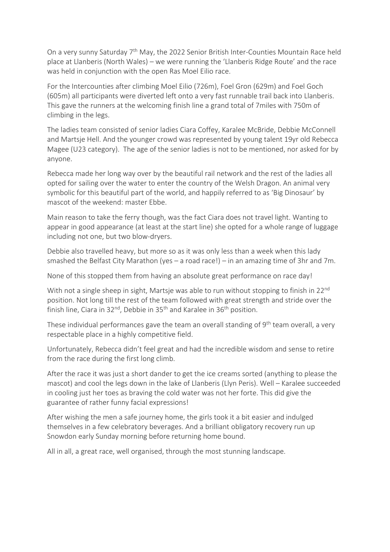On a very sunny Saturday 7<sup>th</sup> May, the 2022 Senior British Inter-Counties Mountain Race held place at Llanberis (North Wales) – we were running the 'Llanberis Ridge Route' and the race was held in conjunction with the open Ras Moel Eilio race.

For the Intercounties after climbing Moel Eilio (726m), Foel Gron (629m) and Foel Goch (605m) all participants were diverted left onto a very fast runnable trail back into Llanberis. This gave the runners at the welcoming finish line a grand total of 7miles with 750m of climbing in the legs.

The ladies team consisted of senior ladies Ciara Coffey, Karalee McBride, Debbie McConnell and Martsje Hell. And the younger crowd was represented by young talent 19yr old Rebecca Magee (U23 category). The age of the senior ladies is not to be mentioned, nor asked for by anyone.

Rebecca made her long way over by the beautiful rail network and the rest of the ladies all opted for sailing over the water to enter the country of the Welsh Dragon. An animal very symbolic for this beautiful part of the world, and happily referred to as 'Big Dinosaur' by mascot of the weekend: master Ebbe.

Main reason to take the ferry though, was the fact Ciara does not travel light. Wanting to appear in good appearance (at least at the start line) she opted for a whole range of luggage including not one, but two blow-dryers.

Debbie also travelled heavy, but more so as it was only less than a week when this lady smashed the Belfast City Marathon (yes – a road race!) – in an amazing time of 3hr and 7m.

None of this stopped them from having an absolute great performance on race day!

With not a single sheep in sight, Martsje was able to run without stopping to finish in 22<sup>nd</sup> position. Not long till the rest of the team followed with great strength and stride over the finish line, Ciara in 32<sup>nd</sup>, Debbie in 35<sup>th</sup> and Karalee in 36<sup>th</sup> position.

These individual performances gave the team an overall standing of 9<sup>th</sup> team overall, a very respectable place in a highly competitive field.

Unfortunately, Rebecca didn't feel great and had the incredible wisdom and sense to retire from the race during the first long climb.

After the race it was just a short dander to get the ice creams sorted (anything to please the mascot) and cool the legs down in the lake of Llanberis (Llyn Peris). Well – Karalee succeeded in cooling just her toes as braving the cold water was not her forte. This did give the guarantee of rather funny facial expressions!

After wishing the men a safe journey home, the girls took it a bit easier and indulged themselves in a few celebratory beverages. And a brilliant obligatory recovery run up Snowdon early Sunday morning before returning home bound.

All in all, a great race, well organised, through the most stunning landscape.